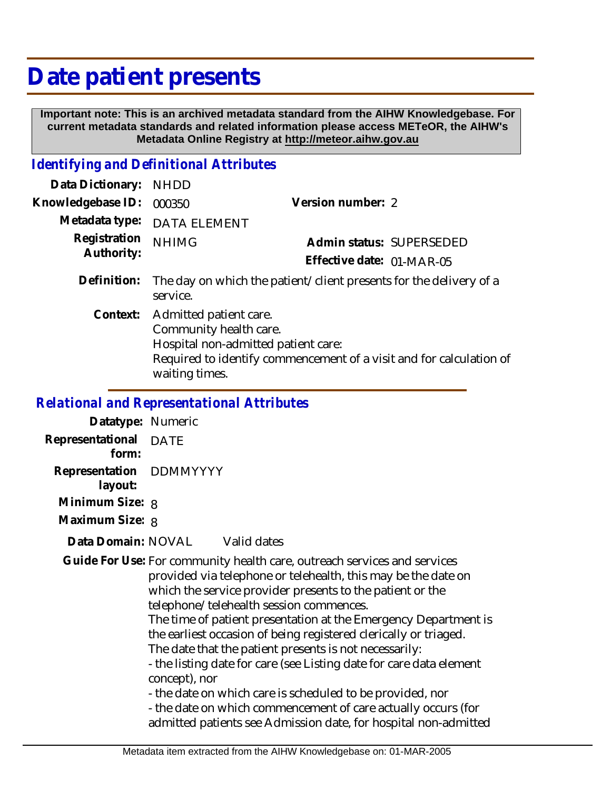# **Date patient presents**

 **Important note: This is an archived metadata standard from the AIHW Knowledgebase. For current metadata standards and related information please access METeOR, the AIHW's Metadata Online Registry at http://meteor.aihw.gov.au**

### *Identifying and Definitional Attributes*

| Data Dictionary:           | <b>NHDD</b>                                                                                                                                                                      |                           |
|----------------------------|----------------------------------------------------------------------------------------------------------------------------------------------------------------------------------|---------------------------|
| Knowledgebase ID:          | 000350                                                                                                                                                                           | Version number: 2         |
| Metadata type:             | <b>DATA ELEMENT</b>                                                                                                                                                              |                           |
| Registration<br>Authority: | <b>NHIMG</b>                                                                                                                                                                     | Admin status: SUPERSEDED  |
|                            |                                                                                                                                                                                  | Effective date: 01-MAR-05 |
| Definition:                | The day on which the patient/client presents for the delivery of a<br>service.                                                                                                   |                           |
| Context:                   | Admitted patient care.<br>Community health care.<br>Hospital non-admitted patient care:<br>Required to identify commencement of a visit and for calculation of<br>waiting times. |                           |

#### *Relational and Representational Attributes*

| Datatype: Numeric                  |      |             |
|------------------------------------|------|-------------|
| Representational<br>form:          | DATE |             |
| Representation DDMMYYYY<br>layout: |      |             |
| Minimum Size: 8                    |      |             |
| Maximum Size: 8                    |      |             |
| Data Domain: NOVAL                 |      | Valid dates |

Guide For Use: For community health care, outreach services and services provided via telephone or telehealth, this may be the date on which the service provider presents to the patient or the telephone/telehealth session commences. The time of patient presentation at the Emergency Department is the earliest occasion of being registered clerically or triaged. The date that the patient presents is not necessarily: - the listing date for care (see Listing date for care data element concept), nor - the date on which care is scheduled to be provided, nor - the date on which commencement of care actually occurs (for admitted patients see Admission date, for hospital non-admitted